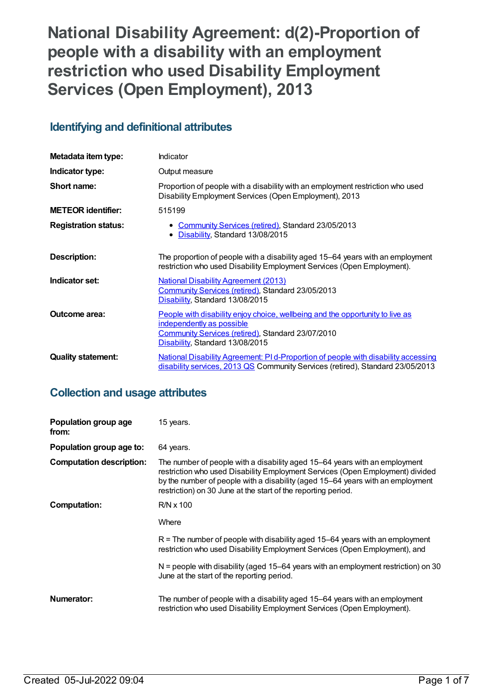# **National Disability Agreement: d(2)-Proportion of people with a disability with an employment restriction who used Disability Employment Services (Open Employment), 2013**

## **Identifying and definitional attributes**

| Metadata item type:         | Indicator                                                                                                                                                                                                 |
|-----------------------------|-----------------------------------------------------------------------------------------------------------------------------------------------------------------------------------------------------------|
| Indicator type:             | Output measure                                                                                                                                                                                            |
| Short name:                 | Proportion of people with a disability with an employment restriction who used<br>Disability Employment Services (Open Employment), 2013                                                                  |
| <b>METEOR identifier:</b>   | 515199                                                                                                                                                                                                    |
| <b>Registration status:</b> | • Community Services (retired), Standard 23/05/2013<br>• Disability, Standard 13/08/2015                                                                                                                  |
| Description:                | The proportion of people with a disability aged 15–64 years with an employment<br>restriction who used Disability Employment Services (Open Employment).                                                  |
| Indicator set:              | <b>National Disability Agreement (2013)</b><br>Community Services (retired), Standard 23/05/2013<br>Disability, Standard 13/08/2015                                                                       |
| <b>Outcome area:</b>        | People with disability enjoy choice, wellbeing and the opportunity to live as<br>independently as possible<br><b>Community Services (retired), Standard 23/07/2010</b><br>Disability, Standard 13/08/2015 |
| <b>Quality statement:</b>   | National Disability Agreement: PI d-Proportion of people with disability accessing<br>disability services, 2013 QS Community Services (retired), Standard 23/05/2013                                      |

## **Collection and usage attributes**

| Population group age<br>from:   | 15 years.                                                                                                                                                                                                                                                                                                      |
|---------------------------------|----------------------------------------------------------------------------------------------------------------------------------------------------------------------------------------------------------------------------------------------------------------------------------------------------------------|
| Population group age to:        | 64 years.                                                                                                                                                                                                                                                                                                      |
| <b>Computation description:</b> | The number of people with a disability aged 15–64 years with an employment<br>restriction who used Disability Employment Services (Open Employment) divided<br>by the number of people with a disability (aged 15–64 years with an employment<br>restriction) on 30 June at the start of the reporting period. |
| Computation:                    | $R/N \times 100$                                                                                                                                                                                                                                                                                               |
|                                 | Where                                                                                                                                                                                                                                                                                                          |
|                                 | $R$ = The number of people with disability aged 15–64 years with an employment<br>restriction who used Disability Employment Services (Open Employment), and                                                                                                                                                   |
|                                 | $N$ = people with disability (aged 15–64 years with an employment restriction) on 30<br>June at the start of the reporting period.                                                                                                                                                                             |
| Numerator:                      | The number of people with a disability aged 15–64 years with an employment<br>restriction who used Disability Employment Services (Open Employment).                                                                                                                                                           |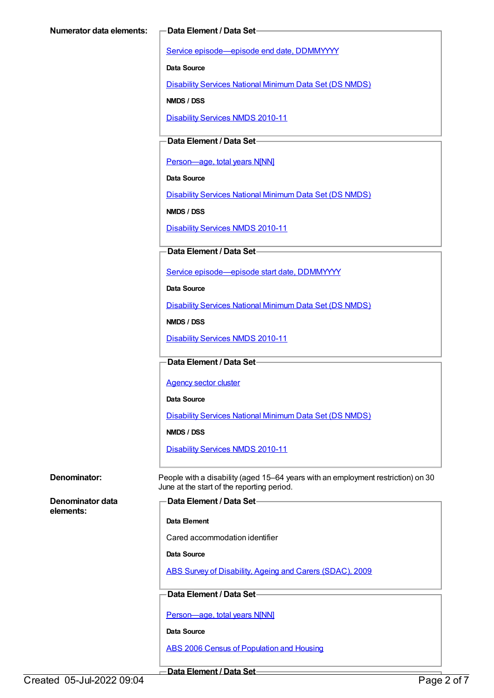Service [episode—episode](https://meteor.aihw.gov.au/content/270160) end date, DDMMYYYY

**Data Source**

[Disability](https://meteor.aihw.gov.au/content/393884) Services National Minimum Data Set (DS NMDS)

**NMDS / DSS**

[Disability](https://meteor.aihw.gov.au/content/428708) Services NMDS 2010-11

### **Data Element / Data Set**

[Person—age,](https://meteor.aihw.gov.au/content/303794) total years N[NN]

**Data Source**

[Disability](https://meteor.aihw.gov.au/content/393884) Services National Minimum Data Set (DS NMDS)

**NMDS / DSS**

[Disability](https://meteor.aihw.gov.au/content/428708) Services NMDS 2010-11

#### **Data Element / Data Set**

Service [episode—episode](https://meteor.aihw.gov.au/content/338558) start date, DDMMYYYY

**Data Source**

[Disability](https://meteor.aihw.gov.au/content/393884) Services National Minimum Data Set (DS NMDS)

**NMDS / DSS**

[Disability](https://meteor.aihw.gov.au/content/428708) Services NMDS 2010-11

#### **Data Element / Data Set**

[Agency](https://meteor.aihw.gov.au/content/497979) sector cluster

**Data Source**

[Disability](https://meteor.aihw.gov.au/content/393884) Services National Minimum Data Set (DS NMDS)

**NMDS / DSS**

[Disability](https://meteor.aihw.gov.au/content/428708) Services NMDS 2010-11

**Denominator:** People with a disability (aged 15–64 years with an employment restriction) on 30 June at the start of the reporting period.

**Denominator data elements:**

```
Data Element / Data Set
```
**Data Element**

Cared accommodation identifier

**Data Source**

ABS Survey of [Disability,](https://meteor.aihw.gov.au/content/445288) Ageing and Carers (SDAC), 2009

#### **Data Element / Data Set**

[Person—age,](https://meteor.aihw.gov.au/content/303794) total years N[NN]

**Data Source**

ABS 2006 Census of [Population](https://meteor.aihw.gov.au/content/394447) and Housing

**Data Element / Data Set**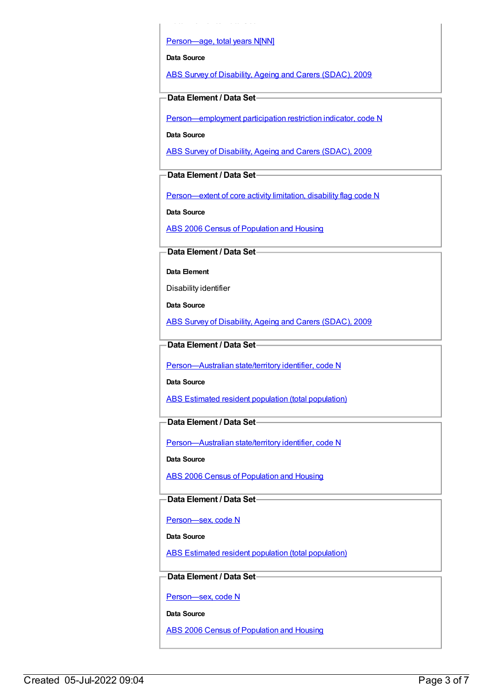[Person—age,](https://meteor.aihw.gov.au/content/303794) total years N[NN]

**Data Element / Data Set**

**Data Source**

ABS Survey of [Disability,](https://meteor.aihw.gov.au/content/445288) Ageing and Carers (SDAC), 2009

**Data Element / Data Set**

[Person—employment](https://meteor.aihw.gov.au/content/520912) participation restriction indicator, code N

**Data Source**

ABS Survey of [Disability,](https://meteor.aihw.gov.au/content/445288) Ageing and Carers (SDAC), 2009

**Data Element / Data Set**

[Person—extent](https://meteor.aihw.gov.au/content/541585) of core activity limitation, disability flag code N

**Data Source**

ABS 2006 Census of [Population](https://meteor.aihw.gov.au/content/394447) and Housing

**Data Element / Data Set**

**Data Element**

Disability identifier

**Data Source**

ABS Survey of [Disability,](https://meteor.aihw.gov.au/content/445288) Ageing and Carers (SDAC), 2009

**Data Element / Data Set**

[Person—Australian](https://meteor.aihw.gov.au/content/286919) state/territory identifier, code N

**Data Source**

ABS Estimated resident population (total [population\)](https://meteor.aihw.gov.au/content/393625)

**Data Element / Data Set**

[Person—Australian](https://meteor.aihw.gov.au/content/286919) state/territory identifier, code N

**Data Source**

ABS 2006 Census of [Population](https://meteor.aihw.gov.au/content/394447) and Housing

**Data Element / Data Set**

[Person—sex,](https://meteor.aihw.gov.au/content/287316) code N

**Data Source**

ABS Estimated resident population (total [population\)](https://meteor.aihw.gov.au/content/393625)

**Data Element / Data Set**

[Person—sex,](https://meteor.aihw.gov.au/content/287316) code N

**Data Source**

ABS 2006 Census of [Population](https://meteor.aihw.gov.au/content/394447) and Housing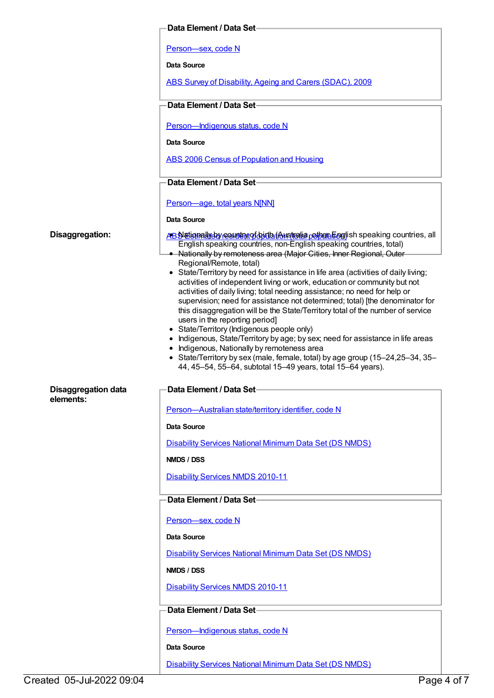|                                                            | Data Element / Data Set-                                                                                                                                                                                                                                                                                                                                                                                                                                                                                                                                                                                                                                                                                                                                                                                                                                                                                                                                                                                                                                                                                                               |
|------------------------------------------------------------|----------------------------------------------------------------------------------------------------------------------------------------------------------------------------------------------------------------------------------------------------------------------------------------------------------------------------------------------------------------------------------------------------------------------------------------------------------------------------------------------------------------------------------------------------------------------------------------------------------------------------------------------------------------------------------------------------------------------------------------------------------------------------------------------------------------------------------------------------------------------------------------------------------------------------------------------------------------------------------------------------------------------------------------------------------------------------------------------------------------------------------------|
|                                                            | Person-sex, code N                                                                                                                                                                                                                                                                                                                                                                                                                                                                                                                                                                                                                                                                                                                                                                                                                                                                                                                                                                                                                                                                                                                     |
|                                                            | Data Source                                                                                                                                                                                                                                                                                                                                                                                                                                                                                                                                                                                                                                                                                                                                                                                                                                                                                                                                                                                                                                                                                                                            |
|                                                            | ABS Survey of Disability, Ageing and Carers (SDAC), 2009                                                                                                                                                                                                                                                                                                                                                                                                                                                                                                                                                                                                                                                                                                                                                                                                                                                                                                                                                                                                                                                                               |
|                                                            | Data Element / Data Set-                                                                                                                                                                                                                                                                                                                                                                                                                                                                                                                                                                                                                                                                                                                                                                                                                                                                                                                                                                                                                                                                                                               |
|                                                            | Person-Indigenous status, code N                                                                                                                                                                                                                                                                                                                                                                                                                                                                                                                                                                                                                                                                                                                                                                                                                                                                                                                                                                                                                                                                                                       |
|                                                            | Data Source                                                                                                                                                                                                                                                                                                                                                                                                                                                                                                                                                                                                                                                                                                                                                                                                                                                                                                                                                                                                                                                                                                                            |
|                                                            | <b>ABS 2006 Census of Population and Housing</b>                                                                                                                                                                                                                                                                                                                                                                                                                                                                                                                                                                                                                                                                                                                                                                                                                                                                                                                                                                                                                                                                                       |
|                                                            | Data Element / Data Set-                                                                                                                                                                                                                                                                                                                                                                                                                                                                                                                                                                                                                                                                                                                                                                                                                                                                                                                                                                                                                                                                                                               |
|                                                            | Person-age, total years N[NN]                                                                                                                                                                                                                                                                                                                                                                                                                                                                                                                                                                                                                                                                                                                                                                                                                                                                                                                                                                                                                                                                                                          |
|                                                            | Data Source                                                                                                                                                                                                                                                                                                                                                                                                                                                                                                                                                                                                                                                                                                                                                                                                                                                                                                                                                                                                                                                                                                                            |
| Disaggregation:<br><b>Disaggregation data</b><br>elements: | AB Nationally by requiring of but a (Australia pothop English speaking countries, all<br>English speaking countries, non-English speaking countries, total)<br>• Nationally by remoteness area (Major Cities, Inner Regional, Outer<br>Regional/Remote, total)<br>• State/Territory by need for assistance in life area (activities of daily living;<br>activities of independent living or work, education or community but not<br>activities of daily living; total needing assistance; no need for help or<br>supervision; need for assistance not determined; total) [the denominator for<br>this disaggregation will be the State/Territory total of the number of service<br>users in the reporting period]<br>• State/Territory (Indigenous people only)<br>• Indigenous, State/Territory by age; by sex; need for assistance in life areas<br>• Indigenous, Nationally by remoteness area<br>• State/Territory by sex (male, female, total) by age group (15-24,25-34, 35-<br>44, 45-54, 55-64, subtotal 15-49 years, total 15-64 years).<br>—Data Element / Data Set-<br>Person-Australian state/territory identifier, code N |
|                                                            | Data Source                                                                                                                                                                                                                                                                                                                                                                                                                                                                                                                                                                                                                                                                                                                                                                                                                                                                                                                                                                                                                                                                                                                            |
|                                                            | <b>Disability Services National Minimum Data Set (DS NMDS)</b>                                                                                                                                                                                                                                                                                                                                                                                                                                                                                                                                                                                                                                                                                                                                                                                                                                                                                                                                                                                                                                                                         |
|                                                            | NMDS / DSS                                                                                                                                                                                                                                                                                                                                                                                                                                                                                                                                                                                                                                                                                                                                                                                                                                                                                                                                                                                                                                                                                                                             |
|                                                            | <b>Disability Services NMDS 2010-11</b>                                                                                                                                                                                                                                                                                                                                                                                                                                                                                                                                                                                                                                                                                                                                                                                                                                                                                                                                                                                                                                                                                                |
|                                                            | Data Element / Data Set-                                                                                                                                                                                                                                                                                                                                                                                                                                                                                                                                                                                                                                                                                                                                                                                                                                                                                                                                                                                                                                                                                                               |
|                                                            | Person-sex, code N                                                                                                                                                                                                                                                                                                                                                                                                                                                                                                                                                                                                                                                                                                                                                                                                                                                                                                                                                                                                                                                                                                                     |
|                                                            | Data Source                                                                                                                                                                                                                                                                                                                                                                                                                                                                                                                                                                                                                                                                                                                                                                                                                                                                                                                                                                                                                                                                                                                            |
|                                                            | <b>Disability Services National Minimum Data Set (DS NMDS)</b>                                                                                                                                                                                                                                                                                                                                                                                                                                                                                                                                                                                                                                                                                                                                                                                                                                                                                                                                                                                                                                                                         |
|                                                            | NMDS / DSS                                                                                                                                                                                                                                                                                                                                                                                                                                                                                                                                                                                                                                                                                                                                                                                                                                                                                                                                                                                                                                                                                                                             |
|                                                            | <b>Disability Services NMDS 2010-11</b>                                                                                                                                                                                                                                                                                                                                                                                                                                                                                                                                                                                                                                                                                                                                                                                                                                                                                                                                                                                                                                                                                                |
|                                                            | Data Element / Data Set-                                                                                                                                                                                                                                                                                                                                                                                                                                                                                                                                                                                                                                                                                                                                                                                                                                                                                                                                                                                                                                                                                                               |
|                                                            | Person-Indigenous status, code N                                                                                                                                                                                                                                                                                                                                                                                                                                                                                                                                                                                                                                                                                                                                                                                                                                                                                                                                                                                                                                                                                                       |
|                                                            | Data Source                                                                                                                                                                                                                                                                                                                                                                                                                                                                                                                                                                                                                                                                                                                                                                                                                                                                                                                                                                                                                                                                                                                            |
|                                                            | <b>Disability Services National Minimum Data Set (DS NMDS)</b>                                                                                                                                                                                                                                                                                                                                                                                                                                                                                                                                                                                                                                                                                                                                                                                                                                                                                                                                                                                                                                                                         |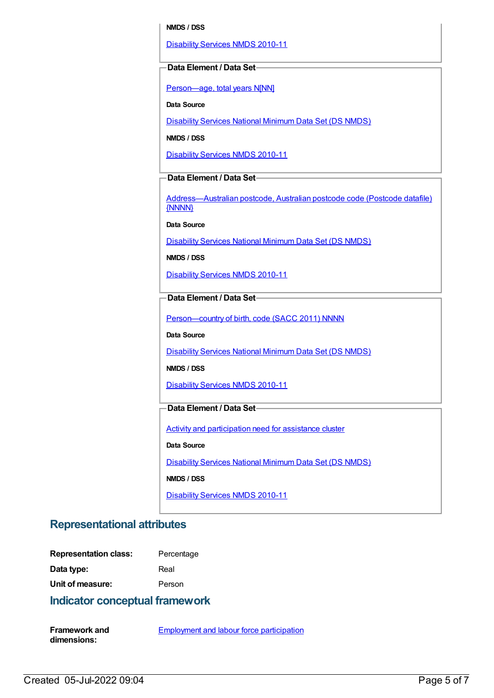#### **NMDS / DSS**

[Disability](https://meteor.aihw.gov.au/content/428708) Services NMDS 2010-11

#### **Data Element / Data Set**

[Person—age,](https://meteor.aihw.gov.au/content/303794) total years N[NN]

**Data Source**

[Disability](https://meteor.aihw.gov.au/content/393884) Services National Minimum Data Set (DS NMDS)

**NMDS / DSS**

[Disability](https://meteor.aihw.gov.au/content/428708) Services NMDS 2010-11

### **Data Element / Data Set**

[Address—Australian](https://meteor.aihw.gov.au/content/429894) postcode, Australian postcode code (Postcode datafile) {NNNN}

**Data Source**

[Disability](https://meteor.aihw.gov.au/content/393884) Services National Minimum Data Set (DS NMDS)

**NMDS / DSS**

[Disability](https://meteor.aihw.gov.au/content/428708) Services NMDS 2010-11

#### **Data Element / Data Set**

Person-country of birth, code (SACC 2011) NNNN

**Data Source**

[Disability](https://meteor.aihw.gov.au/content/393884) Services National Minimum Data Set (DS NMDS)

**NMDS / DSS**

[Disability](https://meteor.aihw.gov.au/content/428708) Services NMDS 2010-11

#### **Data Element / Data Set**

Activity and [participation](https://meteor.aihw.gov.au/content/492069) need for assistance cluster

**Data Source**

[Disability](https://meteor.aihw.gov.au/content/393884) Services National Minimum Data Set (DS NMDS)

**NMDS / DSS**

[Disability](https://meteor.aihw.gov.au/content/428708) Services NMDS 2010-11

#### **Representational attributes**

| <b>Representation class:</b> | Percentage |
|------------------------------|------------|
| Data type:                   | Real       |

**Unit of measure:** Person

#### **Indicator conceptual framework**

| <b>Framework and</b> | <b>Employment and labour force participation</b> |
|----------------------|--------------------------------------------------|
| dimensions:          |                                                  |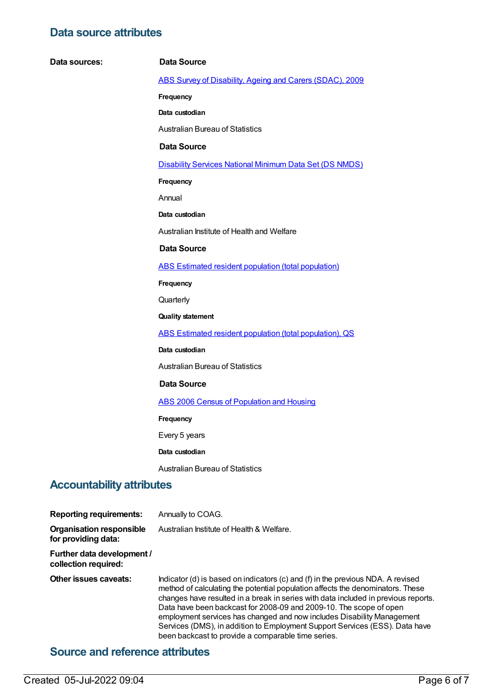### **Data source attributes**

| Data sources:                    | <b>Data Source</b>                                             |
|----------------------------------|----------------------------------------------------------------|
|                                  | ABS Survey of Disability, Ageing and Carers (SDAC), 2009       |
|                                  | Frequency                                                      |
|                                  | Data custodian                                                 |
|                                  | <b>Australian Bureau of Statistics</b>                         |
|                                  | <b>Data Source</b>                                             |
|                                  | <b>Disability Services National Minimum Data Set (DS NMDS)</b> |
|                                  | Frequency                                                      |
|                                  | Annual                                                         |
|                                  | Data custodian                                                 |
|                                  | Australian Institute of Health and Welfare                     |
|                                  | <b>Data Source</b>                                             |
|                                  | ABS Estimated resident population (total population)           |
|                                  | Frequency                                                      |
|                                  | Quarterly                                                      |
|                                  | <b>Quality statement</b>                                       |
|                                  | ABS Estimated resident population (total population), QS       |
|                                  | Data custodian                                                 |
|                                  | <b>Australian Bureau of Statistics</b>                         |
|                                  | <b>Data Source</b>                                             |
|                                  | <b>ABS 2006 Census of Population and Housing</b>               |
|                                  | Frequency                                                      |
|                                  | Every 5 years                                                  |
|                                  | Data custodian                                                 |
|                                  | <b>Australian Bureau of Statistics</b>                         |
| <b>Accountability attributes</b> |                                                                |

| <b>Reporting requirements:</b>                         | Annually to COAG.                                                                                                                                                                                                                                                                                                                                                                                                                                                                                                                            |
|--------------------------------------------------------|----------------------------------------------------------------------------------------------------------------------------------------------------------------------------------------------------------------------------------------------------------------------------------------------------------------------------------------------------------------------------------------------------------------------------------------------------------------------------------------------------------------------------------------------|
| <b>Organisation responsible</b><br>for providing data: | Australian Institute of Health & Welfare.                                                                                                                                                                                                                                                                                                                                                                                                                                                                                                    |
| Further data development /<br>collection required:     |                                                                                                                                                                                                                                                                                                                                                                                                                                                                                                                                              |
| Other issues caveats:                                  | Indicator (d) is based on indicators (c) and (f) in the previous NDA. A revised<br>method of calculating the potential population affects the denominators. These<br>changes have resulted in a break in series with data included in previous reports.<br>Data have been backcast for 2008-09 and 2009-10. The scope of open<br>employment services has changed and now includes Disability Management<br>Services (DMS), in addition to Employment Support Services (ESS). Data have<br>been backcast to provide a comparable time series. |

## **Source and reference attributes**